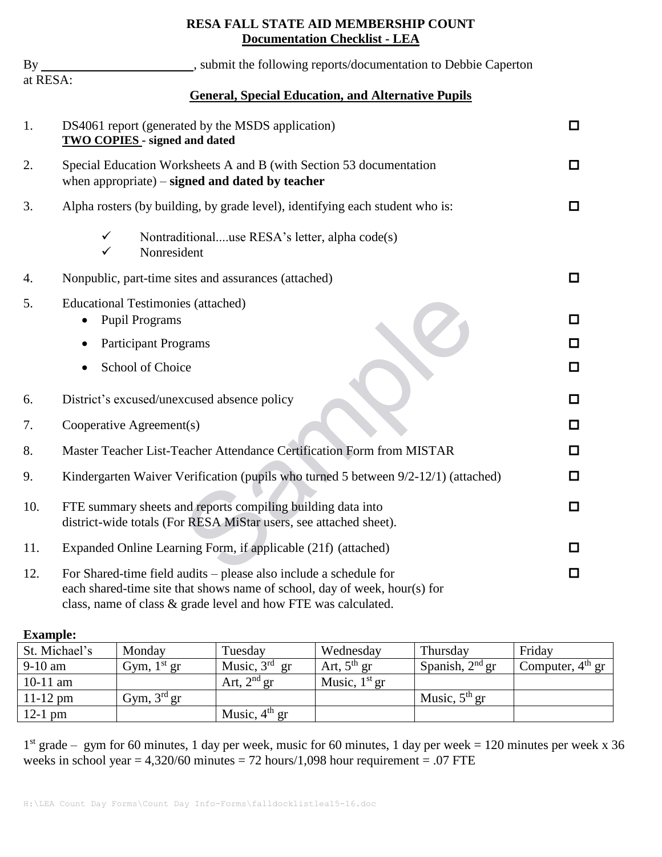## **RESA FALL STATE AID MEMBERSHIP COUNT Documentation Checklist - LEA**

| $By_$    | , submit the following reports/documentation to Debbie Caperton                                                                                                                                                  |        |  |  |
|----------|------------------------------------------------------------------------------------------------------------------------------------------------------------------------------------------------------------------|--------|--|--|
| at RESA: | <b>General, Special Education, and Alternative Pupils</b>                                                                                                                                                        |        |  |  |
| 1.       | DS4061 report (generated by the MSDS application)<br><b>TWO COPIES - signed and dated</b>                                                                                                                        |        |  |  |
| 2.       | Special Education Worksheets A and B (with Section 53 documentation<br>when appropriate) $-$ signed and dated by teacher                                                                                         |        |  |  |
| 3.       | Alpha rosters (by building, by grade level), identifying each student who is:                                                                                                                                    | □      |  |  |
|          | $\checkmark$<br>Nontraditionaluse RESA's letter, alpha code(s)<br>Nonresident<br>✓                                                                                                                               |        |  |  |
| 4.       | Nonpublic, part-time sites and assurances (attached)                                                                                                                                                             | □      |  |  |
| 5.       | <b>Educational Testimonies (attached)</b><br><b>Pupil Programs</b>                                                                                                                                               | □      |  |  |
|          | <b>Participant Programs</b>                                                                                                                                                                                      | □      |  |  |
|          | School of Choice                                                                                                                                                                                                 | ◻      |  |  |
| 6.       | District's excused/unexcused absence policy                                                                                                                                                                      | □      |  |  |
| 7.       | Cooperative Agreement(s)                                                                                                                                                                                         | □      |  |  |
| 8.       | Master Teacher List-Teacher Attendance Certification Form from MISTAR                                                                                                                                            | □      |  |  |
| 9.       | Kindergarten Waiver Verification (pupils who turned 5 between 9/2-12/1) (attached)                                                                                                                               | □      |  |  |
| 10.      | FTE summary sheets and reports compiling building data into<br>district-wide totals (For RESA MiStar users, see attached sheet).                                                                                 |        |  |  |
| 11.      | Expanded Online Learning Form, if applicable (21f) (attached)                                                                                                                                                    | □      |  |  |
| 12.      | For Shared-time field audits - please also include a schedule for<br>each shared-time site that shows name of school, day of week, hour(s) for<br>class, name of class & grade level and how FTE was calculated. | $\Box$ |  |  |

## **Example:**

| St. Michael's | Monday                  | Tuesday         | Wednesday       | Thursday          | Friday             |
|---------------|-------------------------|-----------------|-----------------|-------------------|--------------------|
| $9-10$ am     | Gym, $1st$ gr           | Music, $3rd$ gr | Art, $5th$ gr   | Spanish, $2nd$ gr | Computer, $4th$ gr |
| $10-11$ am    |                         | Art, $2nd$ gr   | Music, $1st$ gr |                   |                    |
| $11 - 12$ pm  | Gym, 3 <sup>rd</sup> gr |                 |                 | Music, $5th$ gr   |                    |
| $12-1$ pm     |                         | Music, $4th$ gr |                 |                   |                    |

1 st grade – gym for 60 minutes, 1 day per week, music for 60 minutes, 1 day per week = 120 minutes per week x 36 weeks in school year  $= 4,320/60$  minutes  $= 72$  hours/1,098 hour requirement  $= .07$  FTE